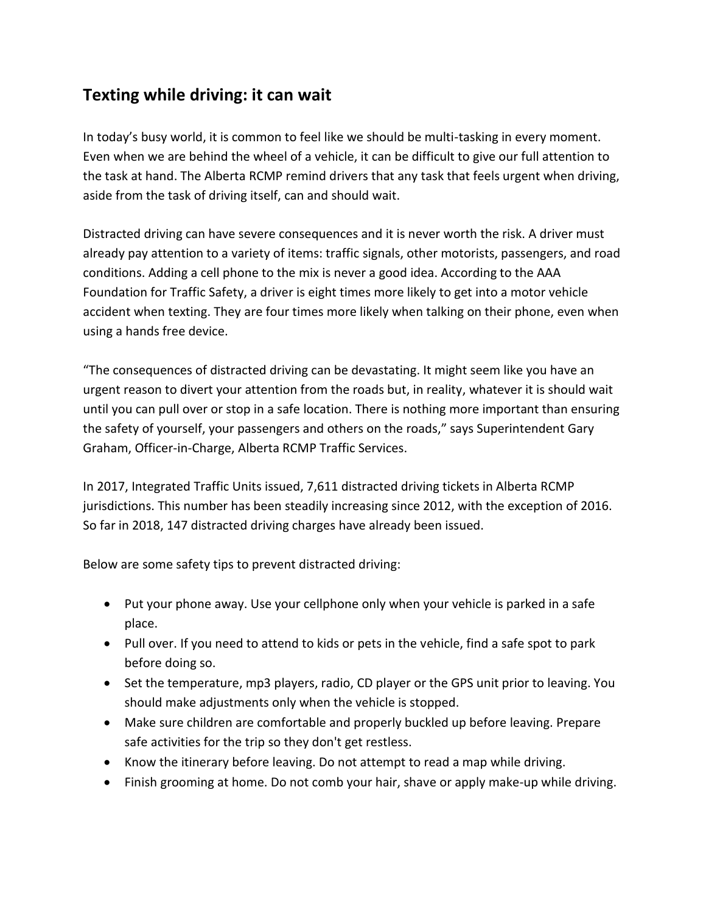## **Texting while driving: it can wait**

In today's busy world, it is common to feel like we should be multi-tasking in every moment. Even when we are behind the wheel of a vehicle, it can be difficult to give our full attention to the task at hand. The Alberta RCMP remind drivers that any task that feels urgent when driving, aside from the task of driving itself, can and should wait.

Distracted driving can have severe consequences and it is never worth the risk. A driver must already pay attention to a variety of items: traffic signals, other motorists, passengers, and road conditions. Adding a cell phone to the mix is never a good idea. According to the AAA Foundation for Traffic Safety, a driver is eight times more likely to get into a motor vehicle accident when texting. They are four times more likely when talking on their phone, even when using a hands free device.

"The consequences of distracted driving can be devastating. It might seem like you have an urgent reason to divert your attention from the roads but, in reality, whatever it is should wait until you can pull over or stop in a safe location. There is nothing more important than ensuring the safety of yourself, your passengers and others on the roads," says Superintendent Gary Graham, Officer-in-Charge, Alberta RCMP Traffic Services.

In 2017, Integrated Traffic Units issued, 7,611 distracted driving tickets in Alberta RCMP jurisdictions. This number has been steadily increasing since 2012, with the exception of 2016. So far in 2018, 147 distracted driving charges have already been issued.

Below are some safety tips to prevent distracted driving:

- Put your phone away. Use your cellphone only when your vehicle is parked in a safe place.
- Pull over. If you need to attend to kids or pets in the vehicle, find a safe spot to park before doing so.
- Set the temperature, mp3 players, radio, CD player or the GPS unit prior to leaving. You should make adjustments only when the vehicle is stopped.
- Make sure children are comfortable and properly buckled up before leaving. Prepare safe activities for the trip so they don't get restless.
- Know the itinerary before leaving. Do not attempt to read a map while driving.
- Finish grooming at home. Do not comb your hair, shave or apply make-up while driving.